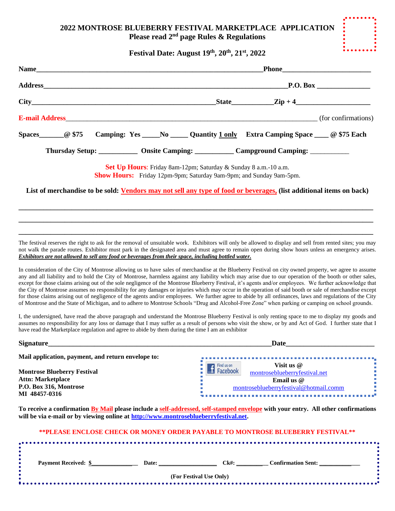## **2022 MONTROSE BLUEBERRY FESTIVAL MARKETPLACE APPLICATION Please read 2nd page Rules & Regulations**

**Festival Date: August 19th, 20th, 21st, 2022**

|  |  |  | P.O. Box                                                                                                                              |                                                                                                               |  |  |
|--|--|--|---------------------------------------------------------------------------------------------------------------------------------------|---------------------------------------------------------------------------------------------------------------|--|--|
|  |  |  |                                                                                                                                       | $\text{State}\_\text{2ip+4}\_\text{2ip+4}$                                                                    |  |  |
|  |  |  |                                                                                                                                       | <b>E-mail Address</b> (for confirmations)                                                                     |  |  |
|  |  |  |                                                                                                                                       | Spaces___________@ \$75 Camping: Yes ______No _______ Quantity 1 only Extra Camping Space _______ @ \$75 Each |  |  |
|  |  |  |                                                                                                                                       | Thursday Setup: ______________ Onsite Camping: _____________ Campground Camping: ____________                 |  |  |
|  |  |  | Set Up Hours: Friday 8am-12pm; Saturday & Sunday 8 a.m.-10 a.m.<br>Show Hours: Friday 12pm-9pm; Saturday 9am-9pm; and Sunday 9am-5pm. |                                                                                                               |  |  |

**List of merchandise to be sold: Vendors may not sell any type of food or beverages, (list additional items on back)**

**\_\_\_\_\_\_\_\_\_\_\_\_\_\_\_\_\_\_\_\_\_\_\_\_\_\_\_\_\_\_\_\_\_\_\_\_\_\_\_\_\_\_\_\_\_\_\_\_\_\_\_\_\_\_\_\_\_\_\_\_\_\_\_\_\_\_\_\_\_\_\_\_\_\_\_\_\_\_\_\_\_\_\_\_\_\_\_\_\_\_\_\_\_\_\_\_\_\_\_\_ \_\_\_\_\_\_\_\_\_\_\_\_\_\_\_\_\_\_\_\_\_\_\_\_\_\_\_\_\_\_\_\_\_\_\_\_\_\_\_\_\_\_\_\_\_\_\_\_\_\_\_\_\_\_\_\_\_\_\_\_\_\_\_\_\_\_\_\_\_\_\_\_\_\_\_\_\_\_\_\_\_\_\_\_\_\_\_\_\_\_\_\_\_\_\_\_\_\_\_\_ \_\_\_\_\_\_\_\_\_\_\_\_\_\_\_\_\_\_\_\_\_\_\_\_\_\_\_\_\_\_\_\_\_\_\_\_\_\_\_\_\_\_\_\_\_\_\_\_\_\_\_\_\_\_\_\_\_\_\_\_\_\_\_\_\_\_\_\_\_\_\_\_\_\_\_\_\_\_\_\_\_\_\_\_\_\_\_\_\_\_\_\_\_\_\_\_\_\_\_\_**

The festival reserves the right to ask for the removal of unsuitable work. Exhibitors will only be allowed to display and sell from rented sites; you may not walk the parade routes. Exhibitor must park in the designated area and must agree to remain open during show hours unless an emergency arises. *Exhibitors are not allowed to sell any food or beverages from their space, including bottled water.*

In consideration of the City of Montrose allowing us to have sales of merchandise at the Blueberry Festival on city owned property, we agree to assume any and all liability and to hold the City of Montrose, harmless against any liability which may arise due to our operation of the booth or other sales, except for those claims arising out of the sole negligence of the Montrose Blueberry Festival, it's agents and/or employees. We further acknowledge that the City of Montrose assumes no responsibility for any damages or injuries which may occur in the operation of said booth or sale of merchandise except for those claims arising out of negligence of the agents and/or employees. We further agree to abide by all ordinances, laws and regulations of the City of Montrose and the State of Michigan, and to adhere to Montrose Schools "Drug and Alcohol-Free Zone" when parking or camping on school grounds.

I, the undersigned, have read the above paragraph and understand the Montrose Blueberry Festival is only renting space to me to display my goods and assumes no responsibility for any loss or damage that I may suffer as a result of persons who visit the show, or by and Act of God. I further state that I have read the Marketplace regulation and agree to abide by them during the time I am an exhibitor

| <b>Signature</b>                                                                         | <b>Date</b>                                                                                 |  |  |
|------------------------------------------------------------------------------------------|---------------------------------------------------------------------------------------------|--|--|
| Mail application, payment, and return envelope to:                                       |                                                                                             |  |  |
| <b>Montrose Blueberry Festival</b><br><b>Attn: Marketplace</b><br>P.O. Box 316, Montrose | Visit us $\omega$<br>Findus on<br>Facebook<br>montroseblueberryfestival.net<br>Email us $@$ |  |  |
| MI 48457-0316                                                                            | montroseblueberryfestival@hotmail.comm                                                      |  |  |

**To receive a confirmation By Mail please include a self-addressed, self-stamped envelope with your entry. All other confirmations will be via e-mail or by viewing online at [http://www.montroseblueberryfestival.net.](http://www.montroseblueberryfestival.net/)**

| <b>Payment Received: \$</b><br>$Ck\#$ :<br>Date:<br><b>Confirmation Sent:</b><br>(For Festival Use Only) |  |  | **PLEASE ENCLOSE CHECK OR MONEY ORDER PAYABLE TO MONTROSE BLUEBERRY FESTIVAL** |  |
|----------------------------------------------------------------------------------------------------------|--|--|--------------------------------------------------------------------------------|--|
|                                                                                                          |  |  |                                                                                |  |